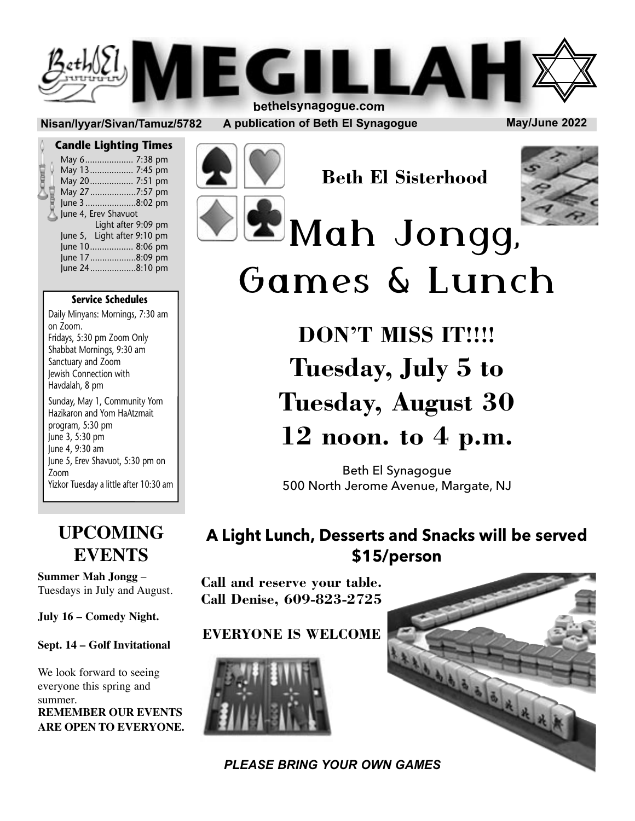

#### **Nisan/Iyyar/Sivan/Tamuz/5782 A publication of Beth El Synagogue May/June 2022**

#### **Candle Lighting Times**

|  | May 6 7:38 pm               |  |
|--|-----------------------------|--|
|  | May 13 7:45 pm              |  |
|  | May 20  7:51 pm             |  |
|  | May 27 7:57 pm              |  |
|  | June 3 8:02 pm              |  |
|  | June 4, Erev Shavuot        |  |
|  | Light after 9:09 pm         |  |
|  | June 5, Light after 9:10 pm |  |
|  | June 10 8:06 pm             |  |
|  | June 17 8:09 pm             |  |
|  | June 248:10 pm              |  |
|  |                             |  |

Soon

#### **Service Schedules**

Daily Minyans: Mornings, 7:30 am on Zoom. Fridays, 5:30 pm Zoom Only Shabbat Mornings, 9:30 am Sanctuary and Zoom Jewish Connection with Havdalah, 8 pm

Sunday, May 1, Community Yom Hazikaron and Yom HaAtzmait program, 5:30 pm June 3, 5:30 pm June 4, 9:30 am June 5, Erev Shavuot, 5:30 pm on Zoom Yizkor Tuesday a little after 10:30 am

### **UPCOMING EVENTS**

**Summer Mah Jongg** – Tuesdays in July and August.

**July 16 – Comedy Night.**

**Sept. 14 – Golf Invitational**

We look forward to seeing everyone this spring and summer. **REMEMBER OUR EVENTS ARE OPEN TO EVERYONE.**

**Beth El Sisterhood**



# mos L<sub>IID</sub> Games & Lunch

**DON'T MISS IT!!!! Tuesday, July 5 to Tuesday, August 30 12 noon. to 4 p.m.**

Beth El Synagogue 500 North Jerome Avenue, Margate, NJ

### **A Light Lunch, Desserts and Snacks will be served \$15/person**

**Call and reserve your table. Call Denise, 609-823-2725**

### **EVERYONE IS WELCOME**



L'ISLE D'ALLER *PLEASE BRING YOUR OWN GAMES*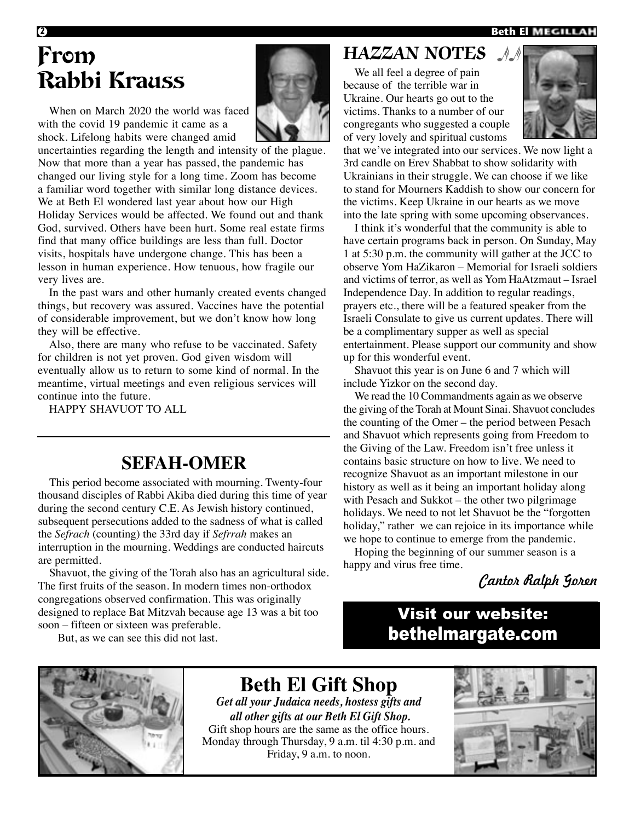#### **<sup>2</sup> Beth El**

# From Rabbi Krauss

When on March 2020 the world was faced with the covid 19 pandemic it came as a shock. Lifelong habits were changed amid

uncertainties regarding the length and intensity of the plague. Now that more than a year has passed, the pandemic has changed our living style for a long time. Zoom has become a familiar word together with similar long distance devices. We at Beth El wondered last year about how our High Holiday Services would be affected. We found out and thank God, survived. Others have been hurt. Some real estate firms find that many office buildings are less than full. Doctor visits, hospitals have undergone change. This has been a lesson in human experience. How tenuous, how fragile our very lives are.

In the past wars and other humanly created events changed things, but recovery was assured. Vaccines have the potential of considerable improvement, but we don't know how long they will be effective.

Also, there are many who refuse to be vaccinated. Safety for children is not yet proven. God given wisdom will eventually allow us to return to some kind of normal. In the meantime, virtual meetings and even religious services will continue into the future.

HAPPY SHAVUOT TO ALL

### **SEFAH-OMER**

This period become associated with mourning. Twenty-four thousand disciples of Rabbi Akiba died during this time of year during the second century C.E. As Jewish history continued, subsequent persecutions added to the sadness of what is called the *Sefrach* (counting) the 33rd day if *Sefrrah* makes an interruption in the mourning. Weddings are conducted haircuts are permitted.

Shavuot, the giving of the Torah also has an agricultural side. The first fruits of the season. In modern times non-orthodox congregations observed confirmation. This was originally designed to replace Bat Mitzvah because age 13 was a bit too soon – fifteen or sixteen was preferable.

But, as we can see this did not last.

### **HAZZAN NOTES**

We all feel a degree of pain because of the terrible war in Ukraine. Our hearts go out to the victims. Thanks to a number of our congregants who suggested a couple of very lovely and spiritual customs



that we've integrated into our services. We now light a 3rd candle on Erev Shabbat to show solidarity with Ukrainians in their struggle. We can choose if we like to stand for Mourners Kaddish to show our concern for the victims. Keep Ukraine in our hearts as we move into the late spring with some upcoming observances.

I think it's wonderful that the community is able to have certain programs back in person. On Sunday, May 1 at 5:30 p.m. the community will gather at the JCC to observe Yom HaZikaron – Memorial for Israeli soldiers and victims of terror, as well as Yom HaAtzmaut – Israel Independence Day. In addition to regular readings, prayers etc., there will be a featured speaker from the Israeli Consulate to give us current updates. There will be a complimentary supper as well as special entertainment. Please support our community and show up for this wonderful event.

Shavuot this year is on June 6 and 7 which will include Yizkor on the second day.

We read the 10 Commandments again as we observe the giving of the Torah at Mount Sinai. Shavuot concludes the counting of the Omer – the period between Pesach and Shavuot which represents going from Freedom to the Giving of the Law. Freedom isn't free unless it contains basic structure on how to live. We need to recognize Shavuot as an important milestone in our history as well as it being an important holiday along with Pesach and Sukkot – the other two pilgrimage holidays. We need to not let Shavuot be the "forgotten holiday," rather we can rejoice in its importance while we hope to continue to emerge from the pandemic.

Hoping the beginning of our summer season is a happy and virus free time.

Cantor Ralph Goren

### Visit our website: bethelmargate.com



**Beth El Gift Shop**

*Get all your Judaica needs, hostess gifts and all other gifts at our Beth El Gift Shop.* Gift shop hours are the same as the office hours. Monday through Thursday, 9 a.m. til 4:30 p.m. and Friday, 9 a.m. to noon.

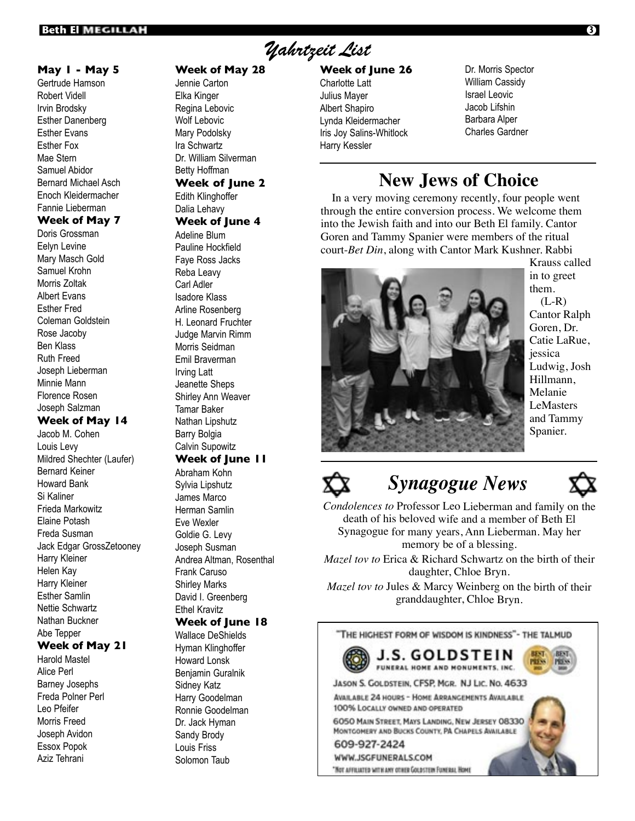#### **May 1 - May 5**

Gertrude Hamson Robert Videll Irvin Brodsky Esther Danenberg Esther Evans Esther Fox Mae Stern Samuel Abidor Bernard Michael Asch Enoch Kleidermacher Fannie Lieberman **Week of May 7**

Doris Grossman Eelyn Levine Mary Masch Gold Samuel Krohn Morris Zoltak Albert Evans Esther Fred Coleman Goldstein Rose Jacoby Ben Klass Ruth Freed Joseph Lieberman Minnie Mann Florence Rosen Joseph Salzman

#### **Week of May 14**

Jacob M. Cohen Louis Levy Mildred Shechter (Laufer) Bernard Keiner Howard Bank Si Kaliner Frieda Markowitz Elaine Potash Freda Susman Jack Edgar GrossZetooney Harry Kleiner Helen Kay Harry Kleiner Esther Samlin Nettie Schwartz Nathan Buckner Abe Tepper

#### **Week of May 21**

Harold Mastel Alice Perl Barney Josephs Freda Polner Perl Leo Pfeifer Morris Freed Joseph Avidon Essox Popok Aziz Tehrani

#### **Week of May 28**

Jennie Carton Elka Kinger Regina Lebovic Wolf Lebovic Mary Podolsky Ira Schwartz Dr. William Silverman Betty Hoffman **Week of June 2**

### Edith Klinghoffer

Dalia Lehavy

#### **Week of June 4**

Adeline Blum Pauline Hockfield Faye Ross Jacks Reba Leavy Carl Adler Isadore Klass Arline Rosenberg H. Leonard Fruchter Judge Marvin Rimm Morris Seidman Emil Braverman Irving Latt Jeanette Sheps Shirley Ann Weaver Tamar Baker Nathan Lipshutz Barry Bolgia Calvin Supowitz

### **Week of June 11**

Abraham Kohn Sylvia Lipshutz James Marco Herman Samlin Eve Wexler Goldie G. Levy Joseph Susman Andrea Altman, Rosenthal Frank Caruso Shirley Marks David I. Greenberg Ethel Kravitz **Week of June 18** Wallace DeShields

Hyman Klinghoffer Howard Lonsk Benjamin Guralnik Sidney Katz Harry Goodelman Ronnie Goodelman Dr. Jack Hyman Sandy Brody Louis Friss Solomon Taub

### Yahrtzeit List

#### **Week of June 26**

- Charlotte Latt Julius Mayer Albert Shapiro Lynda Kleidermacher Iris Joy Salins-Whitlock Harry Kessler
- Dr. Morris Spector William Cassidy Israel Leovic Jacob Lifshin Barbara Alper Charles Gardner

### **New Jews of Choice**

In a very moving ceremony recently, four people went through the entire conversion process. We welcome them into the Jewish faith and into our Beth El family. Cantor Goren and Tammy Spanier were members of the ritual court-*Bet Din*, along with Cantor Mark Kushner. Rabbi



Krauss called in to greet them.  $(L-R)$ Cantor Ralph Goren, Dr. Catie LaRue, jessica Ludwig, Josh Hillmann, Melanie LeMasters and Tammy Spanier.

## *Synagogue News*



*Condolences to* Professor Leo Lieberman and family on the death of his beloved wife and a member of Beth El Synagogue for many years, Ann Lieberman. May her memory be of a blessing.

*Mazel tov to* Erica & Richard Schwartz on the birth of their daughter, Chloe Bryn.

*Mazel tov to* Jules & Marcy Weinberg on the birth of their granddaughter, Chloe Bryn.

THE HIGHEST FORM OF WISDOM IS KINDNESS"- THE TALMUD



J.S. GOLDSTEIN FUNERAL HOME AND MONUMENTS, INC.

JASON S. GOLDSTEIN, CFSP, MGR. NJ LIC. NO. 4633

**AVAILABLE 24 HOURS - HOME ARRANGEMENTS AVAILABLE** 100% LOCALLY OWNED AND OPERATED

6050 MAIN STREET, MAYS LANDING, NEW JERSEY 08330 MONTGOMERY AND BUCKS COUNTY, PA CHAPELS AVAILABLE

609-927-2424 WWW.JSGFUNERALS.COM

"NOT AFFILIATED WITH ANY OTHER GOLDSTEIN FUNERAL HOME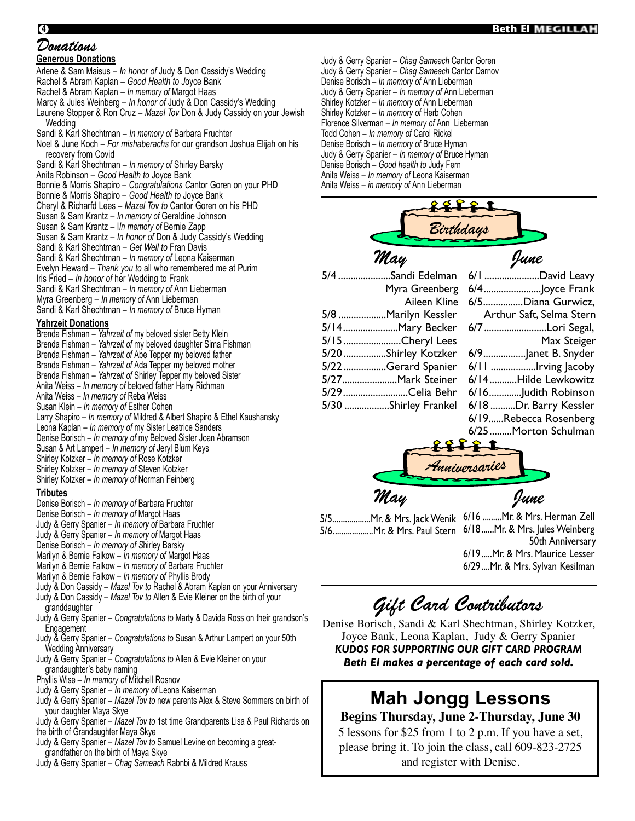#### **<sup>4</sup> Beth El**

#### Donations

**Generous Donations**

Arlene & Sam Maisus – *In honor of* Judy & Don Cassidy's Wedding Rachel & Abram Kaplan – *Good Health to J*oyce Bank Rachel & Abram Kaplan – *In memory of* Margot Haas Marcy & Jules Weinberg – *In honor of* Judy & Don Cassidy's Wedding Laurene Stopper & Ron Cruz – *Mazel Tov* Don & Judy Cassidy on your Jewish **Wedding** Sandi & Karl Shechtman – *In memory of* Barbara Fruchter Noel & June Koch – *For mishaberachs* for our grandson Joshua Elijah on his recovery from Covid Sandi & Karl Shechtman – *In memory of* Shirley Barsky Anita Robinson – *Good Health to* Joyce Bank Bonnie & Morris Shapiro – *Congratulations C*antor Goren on your PHD Bonnie & Morris Shapiro – *Good Health to* Joyce Bank Cheryl & Richarfd Lees – *Mazel Tov to* Cantor Goren on his PHD Susan & Sam Krantz – *In memory of* Geraldine Johnson Susan & Sam Krantz – I*In memory of* Bernie Zapp Susan & Sam Krantz – *In honor of* Don & Judy Cassidy's Wedding Sandi & Karl Shechtman – *Get Well to* Fran Davis Sandi & Karl Shechtman – *In memory of* Leona Kaiserman Evelyn Heward – *Thank you to* all who remembered me at Purim Iris Fried – *In honor of* her Wedding to Frank Sandi & Karl Shechtman – *In memory of* Ann Lieberman Myra Greenberg – *In memory of* Ann Lieberman Sandi & Karl Shechtman – *In memory of* Bruce Hyman

#### **Yahrzeit Donations**

| Brenda Fishman - Yahrzeit of my beloved sister Betty Klein               |  |
|--------------------------------------------------------------------------|--|
| Brenda Fishman - Yahrzeit of my beloved daughter Sima Fishman            |  |
| Brenda Fishman - Yahrzeit of Abe Tepper my beloved father                |  |
| Branda Fishman – Yahrzeit of Ada Tepper my beloved mother                |  |
| Brenda Fishman - Yahrzeit of Shirley Tepper my beloved Sister            |  |
| Anita Weiss – In memory of beloved father Harry Richman                  |  |
| Anita Weiss - In memory of Reba Weiss                                    |  |
| Susan Klein - In memory of Esther Cohen                                  |  |
| Larry Shapiro – In memory of Mildred & Albert Shapiro & Ethel Kaushansky |  |
| Leona Kaplan - In memory of my Sister Leatrice Sanders                   |  |
| Denise Borisch - In memory of my Beloved Sister Joan Abramson            |  |
| Susan & Art Lampert - In memory of Jeryl Blum Keys                       |  |
| Shirley Kotzker - In memory of Rose Kotzker                              |  |
| Shirley Kotzker - In memory of Steven Kotzker                            |  |
| Shirley Kotzker – In memory of Norman Feinberg                           |  |

#### **Tributes**

- Denise Borisch *In memory of* Barbara Fruchter
- Denise Borisch *In memory of* Margot Haas
- Judy & Gerry Spanier *In memory of* Barbara Fruchter
- Judy & Gerry Spanier *In memory of* Margot Haas
- Denise Borisch *In memory of S*hirley Barsky
- Marilyn & Bernie Falkow *In memory of* Margot Haas
- Marilyn & Bernie Falkow *In memory of* Barbara Fruchter
- Marilyn & Bernie Falkow *In memory of* Phyllis Brody
- Judy & Don Cassidy *Mazel Tov to* Rachel & Abram Kaplan on your Anniversary
- Judy & Don Cassidy *Mazel Tov to* Allen & Evie Kleiner on the birth of your granddaughter
- Judy & Gerry Spanier *Congratulations to* Marty & Davida Ross on their grandson's Engagement
- Judy & Gerry Spanier – *Congratulations to* Susan & Arthur Lampert on your 50th Wedding Anniversary
- Judy & Gerry Spanier *Congratulations to* Allen & Evie Kleiner on your grandaughter's baby naming
- Phyllis Wise *In memory of* Mitchell Rosnov
- Judy & Gerry Spanier *In memory of* Leona Kaiserman
- Judy & Gerry Spanier *Mazel Tov to* new parents Alex & Steve Sommers on birth of your daughter Maya Skye
- Judy & Gerry Spanier *Mazel Tov to* 1st time Grandparents Lisa & Paul Richards on the birth of Grandaughter Maya Skye
- Judy & Gerry Spanier – *Mazel Tov to* Samuel Levine on becoming a great-
- grandfather on the birth of Maya Skye
- Judy & Gerry Spanier – *Chag Sameach* Rabnbi & Mildred Krauss

Judy & Gerry Spanier – *Chag Sameach* Cantor Goren Judy & Gerry Spanier – *Chag Sameach* Cantor Darnov Denise Borisch – *In memory of* Ann Lieberman Judy & Gerry Spanier – *In memory of* Ann Lieberman Shirley Kotzker – *In memory of* Ann Lieberman Shirley Kotzker – *In memory of* Herb Cohen Florence Silverman – *In memory of* Ann Lieberman Todd Cohen – *In memory of* Carol Rickel Denise Borisch – *In memory of* Bruce Hyman Judy & Gerry Spanier – *In memory of* Bruce Hyman Denise Borisch – *Good health to* Judy Fern Anita Weiss – *In memory of* Leona Kaiserman Anita Weiss – *in memory of* Ann Lieberman

| refe      |
|-----------|
| Birthdays |

#### 5/4 .....................Sandi Edelman Myra Greenberg Aileen Kline 5/8 ...................Marilyn Kessler 5/14......................Mary Becker 5/15 .......................Cheryl Lees 5/20 .................Shirley Kotzker 5/22 .................Gerard Spanier 5/27......................Mark Steiner 5/29..........................Celia Behr 5/30 ..................Shirley Frankel May June

| 6/1 David Leavy          |  |  |  |  |
|--------------------------|--|--|--|--|
|                          |  |  |  |  |
| 6/5Diana Gurwicz,        |  |  |  |  |
| Arthur Saft, Selma Stern |  |  |  |  |
| 6/7 Lori Segal,          |  |  |  |  |
| Max Steiger              |  |  |  |  |
| 6/9Janet B. Snyder       |  |  |  |  |
| 6/11 Irving Jacoby       |  |  |  |  |
| 6/14Hilde Lewkowitz      |  |  |  |  |
| 6/16Judith Robinson      |  |  |  |  |
| 6/18 Dr. Barry Kessler   |  |  |  |  |
| 6/19Rebecca Rosenberg    |  |  |  |  |
| 6/25Morton Schulman      |  |  |  |  |
|                          |  |  |  |  |



- 5/5..................Mr. & Mrs. Jack Wenik 6/16 .........Mr. & Mrs. Herman Zell 5/6...................Mr. & Mrs. Paul Stern 6/18......Mr. & Mrs. Jules Weinberg
	- 50th Anniversary 6/19.....Mr. & Mrs. Maurice Lesser 6/29....Mr. & Mrs. Sylvan Kesilman

# Gift Card Contributors

Denise Borisch, Sandi & Karl Shechtman, Shirley Kotzker, Joyce Bank, Leona Kaplan, Judy & Gerry Spanier *KUDOS FOR SUPPORTING OUR GIFT CARD PROGRAM Beth El makes a percentage of each card sold.*

## **Mah Jongg Lessons**

#### **Begins Thursday, June 2-Thursday, June 30** 5 lessons for \$25 from 1 to 2 p.m. If you have a set,

please bring it. To join the class, call 609-823-2725 and register with Denise.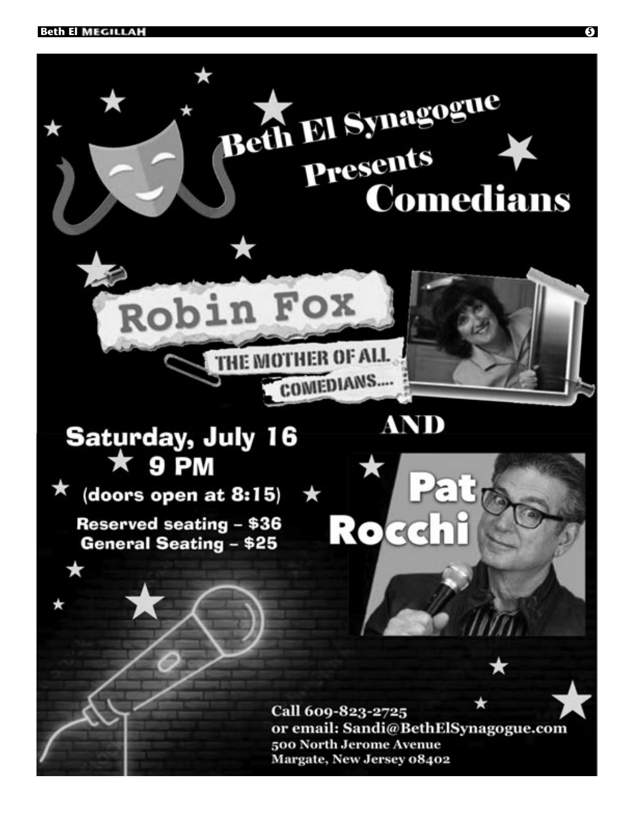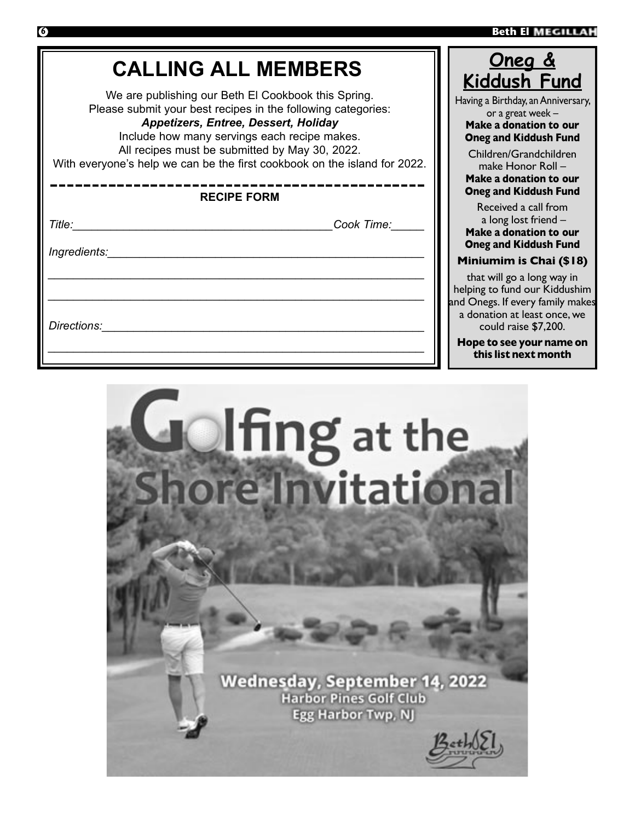**this list next month**



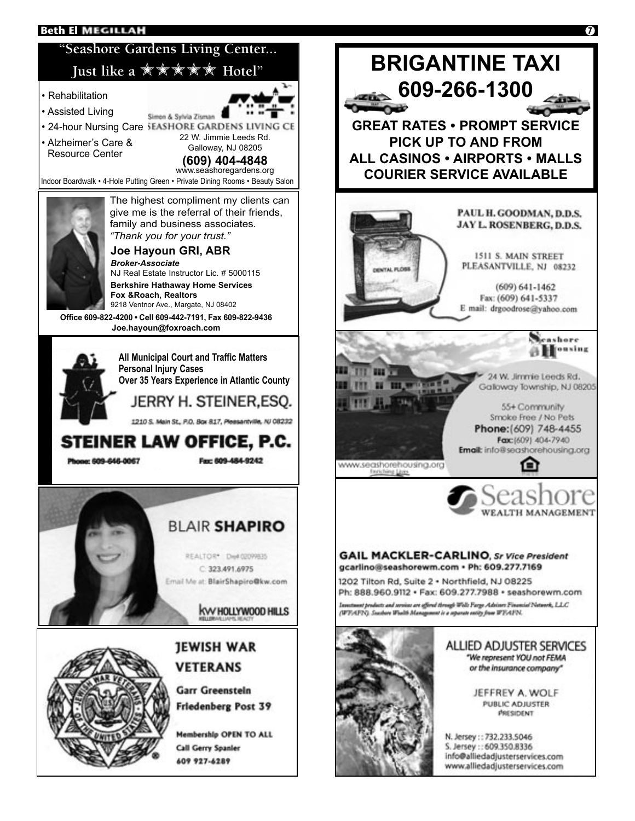#### **Beth El MEGILLAH**

### **"Seashore Gardens Living Center...** Iust like a **\*\*\*\*\*\*** Hotel"

- Rehabilitation
- Assisted Living
- 24-hour Nursing Care SEASHORE GARDENS LIVING CE
- Alzheimer's Care & Resource Center

22 W. Jimmie Leeds Rd. Galloway, NJ 08205 **(609) 404-4848**

www.seashoregardens.org Indoor Boardwalk • 4-Hole Putting Green • Private Dining Rooms • Beauty Salon

Simon & Sylvia Zisman



**Joe Hayoun GRI, ABR** The highest compliment my clients can give me is the referral of their friends, family and business associates. *"Thank you for your trust."*

#### *Broker-Associate* NJ Real Estate Instructor Lic. # 5000115 **Berkshire Hathaway Home Services Fox &Roach, Realtors** 9218 Ventnor Ave., Margate, NJ 08402

**Office 609-822-4200 • Cell 609-442-7191, Fax 609-822-9436 Joe.hayoun@foxroach.com**



**All Municipal Court and Traffic Matters Personal Injury Cases Over 35 Years Experience in Atlantic County**

JERRY H. STEINER, ESO.

1210 S. Main St., P.O. Box 817, Pleasantville, NJ 08232

STEINER LAW OFFICE, P.C.

Phone: 609-646-0067

Fax: 609-484-9242





### **JEWISH WAR VETERANS**

Garr Greenstein Friedenberg Post 39

Membership OPEN TO ALL **Call Gerry Spanier** 609 927-6289



www.alliedadjusterservices.com